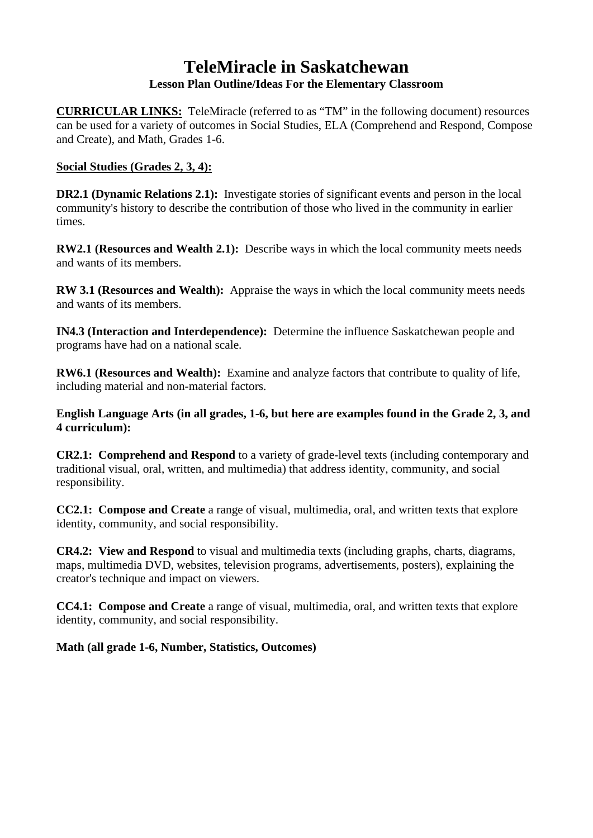# **TeleMiracle in Saskatchewan Lesson Plan Outline/Ideas For the Elementary Classroom**

**CURRICULAR LINKS:** TeleMiracle (referred to as "TM" in the following document) resources can be used for a variety of outcomes in Social Studies, ELA (Comprehend and Respond, Compose and Create), and Math, Grades 1-6.

## **Social Studies (Grades 2, 3, 4):**

**DR2.1 (Dynamic Relations 2.1):** Investigate stories of significant events and person in the local community's history to describe the contribution of those who lived in the community in earlier times.

**RW2.1 (Resources and Wealth 2.1):** Describe ways in which the local community meets needs and wants of its members.

**RW 3.1 (Resources and Wealth):** Appraise the ways in which the local community meets needs and wants of its members.

**IN4.3 (Interaction and Interdependence):** Determine the influence Saskatchewan people and programs have had on a national scale.

**RW6.1 (Resources and Wealth):** Examine and analyze factors that contribute to quality of life, including material and non-material factors.

**English Language Arts (in all grades, 1-6, but here are examples found in the Grade 2, 3, and 4 curriculum):**

**CR2.1: Comprehend and Respond** to a variety of grade-level texts (including contemporary and traditional visual, oral, written, and multimedia) that address identity, community, and social responsibility.

**CC2.1: Compose and Create** a range of visual, multimedia, oral, and written texts that explore identity, community, and social responsibility.

**CR4.2: View and Respond** to visual and multimedia texts (including graphs, charts, diagrams, maps, multimedia DVD, websites, television programs, advertisements, posters), explaining the creator's technique and impact on viewers.

**CC4.1: Compose and Create** a range of visual, multimedia, oral, and written texts that explore identity, community, and social responsibility.

**Math (all grade 1-6, Number, Statistics, Outcomes)**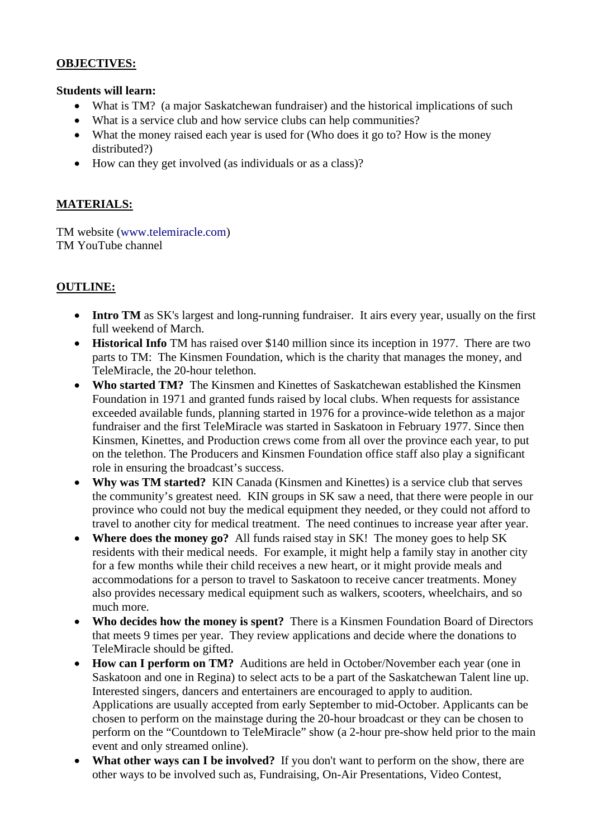#### **OBJECTIVES:**

#### **Students will learn:**

- What is TM? (a major Saskatchewan fundraiser) and the historical implications of such
- What is a service club and how service clubs can help communities?
- What the money raised each year is used for (Who does it go to? How is the money distributed?)
- How can they get involved (as individuals or as a class)?

## **MATERIALS:**

TM website [\(www.telemiracle.com\)](http://www.telemiracle.com/) TM YouTube channel

# **OUTLINE:**

- **Intro TM** as SK's largest and long-running fundraiser. It airs every year, usually on the first full weekend of March.
- **Historical Info** TM has raised over \$140 million since its inception in 1977. There are two parts to TM: The Kinsmen Foundation, which is the charity that manages the money, and TeleMiracle, the 20-hour telethon.
- **Who started TM?** The Kinsmen and Kinettes of Saskatchewan established the Kinsmen Foundation in 1971 and granted funds raised by local clubs. When requests for assistance exceeded available funds, planning started in 1976 for a province-wide telethon as a major fundraiser and the first TeleMiracle was started in Saskatoon in February 1977. Since then Kinsmen, Kinettes, and Production crews come from all over the province each year, to put on the telethon. The Producers and Kinsmen Foundation office staff also play a significant role in ensuring the broadcast's success.
- **Why was TM started?** KIN Canada (Kinsmen and Kinettes) is a service club that serves the community's greatest need. KIN groups in SK saw a need, that there were people in our province who could not buy the medical equipment they needed, or they could not afford to travel to another city for medical treatment. The need continues to increase year after year.
- **Where does the money go?** All funds raised stay in SK! The money goes to help SK residents with their medical needs. For example, it might help a family stay in another city for a few months while their child receives a new heart, or it might provide meals and accommodations for a person to travel to Saskatoon to receive cancer treatments. Money also provides necessary medical equipment such as walkers, scooters, wheelchairs, and so much more.
- **Who decides how the money is spent?** There is a Kinsmen Foundation Board of Directors that meets 9 times per year. They review applications and decide where the donations to TeleMiracle should be gifted.
- **How can I perform on TM?** Auditions are held in October/November each year (one in Saskatoon and one in Regina) to select acts to be a part of the Saskatchewan Talent line up. Interested singers, dancers and entertainers are encouraged to apply to audition. Applications are usually accepted from early September to mid-October. Applicants can be chosen to perform on the mainstage during the 20-hour broadcast or they can be chosen to perform on the "Countdown to TeleMiracle" show (a 2-hour pre-show held prior to the main event and only streamed online).
- **What other ways can I be involved?** If you don't want to perform on the show, there are other ways to be involved such as, Fundraising, On-Air Presentations, Video Contest,